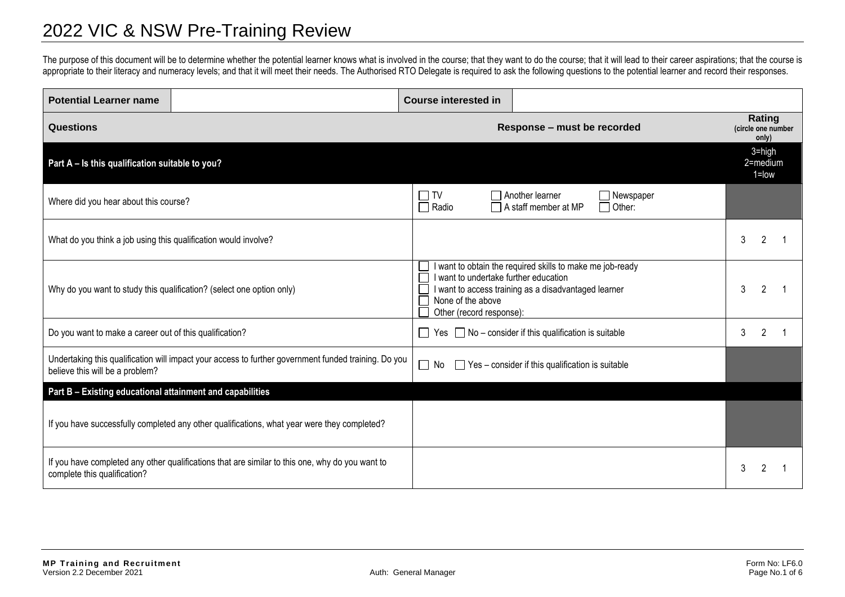## 2022 VIC & NSW Pre-Training Review

The purpose of this document will be to determine whether the potential learner knows what is involved in the course; that they want to do the course; that it will lead to their career aspirations; that the course is appropriate to their literacy and numeracy levels; and that it will meet their needs. The Authorised RTO Delegate is required to ask the following questions to the potential learner and record their responses.

| <b>Potential Learner name</b>                                                                                                           |                                                                                             | <b>Course interested in</b> |                                                                                                                                                                                        |                                       |  |
|-----------------------------------------------------------------------------------------------------------------------------------------|---------------------------------------------------------------------------------------------|-----------------------------|----------------------------------------------------------------------------------------------------------------------------------------------------------------------------------------|---------------------------------------|--|
| <b>Questions</b>                                                                                                                        |                                                                                             |                             | Response - must be recorded                                                                                                                                                            | Rating<br>(circle one number<br>only) |  |
| Part A - Is this qualification suitable to you?                                                                                         |                                                                                             |                             |                                                                                                                                                                                        | $3 = high$<br>2=medium<br>$1 =$ low   |  |
| Where did you hear about this course?                                                                                                   |                                                                                             | $\Box$ TV<br>$\Box$ Radio   | Another learner<br>$\Box$ Newspaper<br>A staff member at MP<br>$\Box$ Other:                                                                                                           |                                       |  |
| What do you think a job using this qualification would involve?                                                                         |                                                                                             |                             |                                                                                                                                                                                        | 3<br>2                                |  |
| Why do you want to study this qualification? (select one option only)                                                                   |                                                                                             | None of the above           | I want to obtain the required skills to make me job-ready<br>I want to undertake further education<br>I want to access training as a disadvantaged learner<br>Other (record response): |                                       |  |
| Do you want to make a career out of this qualification?                                                                                 |                                                                                             | $\Box$                      | Yes $\Box$ No – consider if this qualification is suitable                                                                                                                             |                                       |  |
| Undertaking this qualification will impact your access to further government funded training. Do you<br>believe this will be a problem? |                                                                                             | $\Box$ No                   | $\Box$ Yes – consider if this qualification is suitable                                                                                                                                |                                       |  |
| Part B - Existing educational attainment and capabilities                                                                               |                                                                                             |                             |                                                                                                                                                                                        |                                       |  |
|                                                                                                                                         | If you have successfully completed any other qualifications, what year were they completed? |                             |                                                                                                                                                                                        |                                       |  |
| If you have completed any other qualifications that are similar to this one, why do you want to<br>complete this qualification?         |                                                                                             |                             |                                                                                                                                                                                        | 3                                     |  |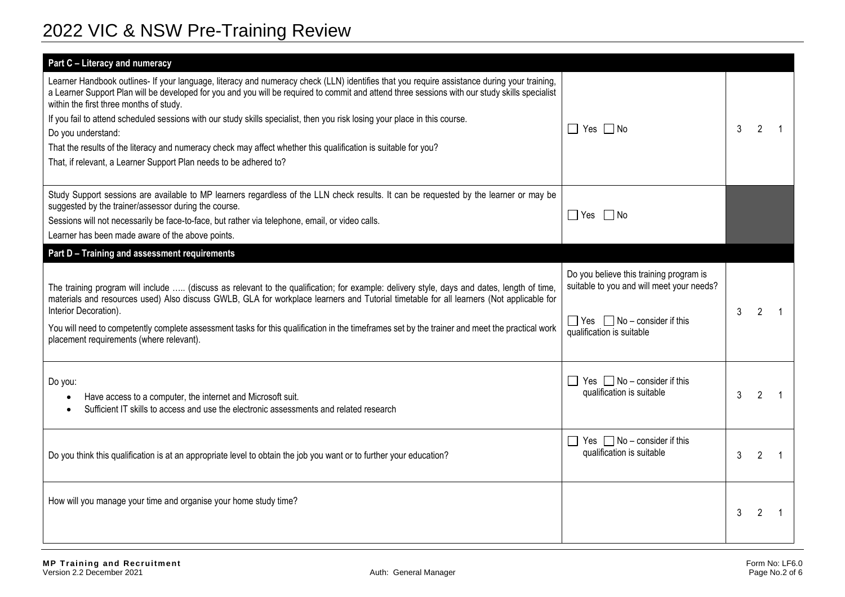## 2022 VIC & NSW Pre-Training Review

| Part C - Literacy and numeracy                                                                                                                                                                                                                                                                                                                                                                                                                                                                                                                                                                                                                                                      |                                                                                                                                                              |   |                |  |
|-------------------------------------------------------------------------------------------------------------------------------------------------------------------------------------------------------------------------------------------------------------------------------------------------------------------------------------------------------------------------------------------------------------------------------------------------------------------------------------------------------------------------------------------------------------------------------------------------------------------------------------------------------------------------------------|--------------------------------------------------------------------------------------------------------------------------------------------------------------|---|----------------|--|
| Learner Handbook outlines- If your language, literacy and numeracy check (LLN) identifies that you require assistance during your training,<br>a Learner Support Plan will be developed for you and you will be required to commit and attend three sessions with our study skills specialist<br>within the first three months of study.<br>If you fail to attend scheduled sessions with our study skills specialist, then you risk losing your place in this course.<br>Do you understand:<br>That the results of the literacy and numeracy check may affect whether this qualification is suitable for you?<br>That, if relevant, a Learner Support Plan needs to be adhered to? | $\Box$ Yes $\Box$ No                                                                                                                                         | 3 | 2              |  |
| Study Support sessions are available to MP learners regardless of the LLN check results. It can be requested by the learner or may be<br>suggested by the trainer/assessor during the course.<br>Sessions will not necessarily be face-to-face, but rather via telephone, email, or video calls.<br>Learner has been made aware of the above points.                                                                                                                                                                                                                                                                                                                                | $\Box$ Yes $\Box$ No                                                                                                                                         |   |                |  |
| Part D - Training and assessment requirements                                                                                                                                                                                                                                                                                                                                                                                                                                                                                                                                                                                                                                       |                                                                                                                                                              |   |                |  |
| The training program will include  (discuss as relevant to the qualification; for example: delivery style, days and dates, length of time,<br>materials and resources used) Also discuss GWLB, GLA for workplace learners and Tutorial timetable for all learners (Not applicable for<br>Interior Decoration).<br>You will need to competently complete assessment tasks for this qualification in the timeframes set by the trainer and meet the practical work<br>placement requirements (where relevant).                                                                                                                                                                        | Do you believe this training program is<br>suitable to you and will meet your needs?<br>$\Box$ Yes $\Box$ No – consider if this<br>qualification is suitable | 3 | $\mathcal{P}$  |  |
| Do you:<br>Have access to a computer, the internet and Microsoft suit.<br>Sufficient IT skills to access and use the electronic assessments and related research                                                                                                                                                                                                                                                                                                                                                                                                                                                                                                                    | Yes $\Box$ No – consider if this<br>qualification is suitable                                                                                                | 3 | $\mathcal{P}$  |  |
| Do you think this qualification is at an appropriate level to obtain the job you want or to further your education?                                                                                                                                                                                                                                                                                                                                                                                                                                                                                                                                                                 | Yes $\Box$ No – consider if this<br>qualification is suitable                                                                                                | 3 | 2              |  |
| How will you manage your time and organise your home study time?                                                                                                                                                                                                                                                                                                                                                                                                                                                                                                                                                                                                                    |                                                                                                                                                              | 3 | $\mathfrak{p}$ |  |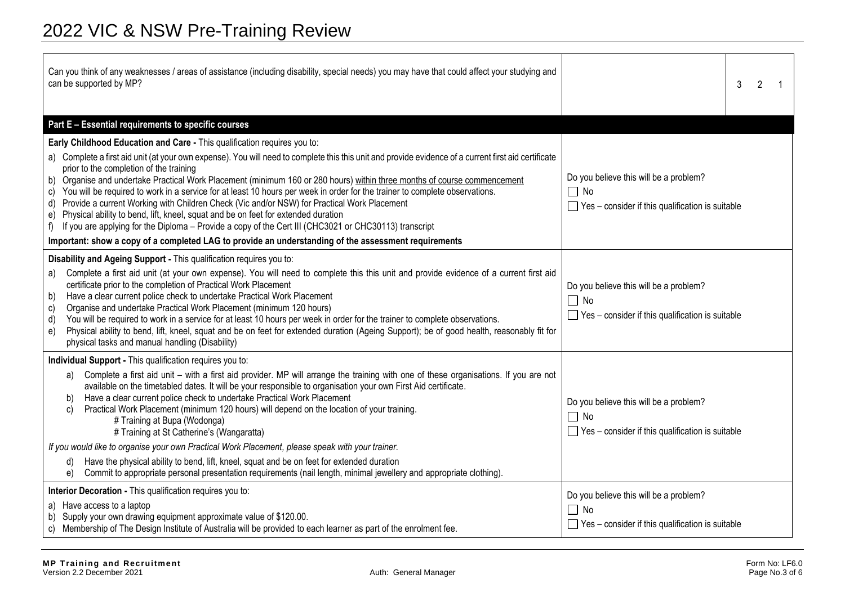| Can you think of any weaknesses / areas of assistance (including disability, special needs) you may have that could affect your studying and<br>can be supported by MP?                                                                                                                                                                                                                                                                                                                                                                                                                                                                                                                                                                                                                                                                                                                                                                                                                     | 3                                                                                                              | 2 |
|---------------------------------------------------------------------------------------------------------------------------------------------------------------------------------------------------------------------------------------------------------------------------------------------------------------------------------------------------------------------------------------------------------------------------------------------------------------------------------------------------------------------------------------------------------------------------------------------------------------------------------------------------------------------------------------------------------------------------------------------------------------------------------------------------------------------------------------------------------------------------------------------------------------------------------------------------------------------------------------------|----------------------------------------------------------------------------------------------------------------|---|
| Part E - Essential requirements to specific courses                                                                                                                                                                                                                                                                                                                                                                                                                                                                                                                                                                                                                                                                                                                                                                                                                                                                                                                                         |                                                                                                                |   |
| Early Childhood Education and Care - This qualification requires you to:<br>a) Complete a first aid unit (at your own expense). You will need to complete this this unit and provide evidence of a current first aid certificate<br>prior to the completion of the training<br>b) Organise and undertake Practical Work Placement (minimum 160 or 280 hours) within three months of course commencement<br>c) You will be required to work in a service for at least 10 hours per week in order for the trainer to complete observations.<br>d) Provide a current Working with Children Check (Vic and/or NSW) for Practical Work Placement<br>e) Physical ability to bend, lift, kneel, squat and be on feet for extended duration<br>f) If you are applying for the Diploma – Provide a copy of the Cert III (CHC3021 or CHC30113) transcript<br>Important: show a copy of a completed LAG to provide an understanding of the assessment requirements                                     | Do you believe this will be a problem?<br>$\Box$ No<br>$\Box$ Yes – consider if this qualification is suitable |   |
| Disability and Ageing Support - This qualification requires you to:<br>Complete a first aid unit (at your own expense). You will need to complete this this unit and provide evidence of a current first aid<br>a)<br>certificate prior to the completion of Practical Work Placement<br>Have a clear current police check to undertake Practical Work Placement<br>b)<br>Organise and undertake Practical Work Placement (minimum 120 hours)<br>C)<br>You will be required to work in a service for at least 10 hours per week in order for the trainer to complete observations.<br>d)<br>Physical ability to bend, lift, kneel, squat and be on feet for extended duration (Ageing Support); be of good health, reasonably fit for<br>e)<br>physical tasks and manual handling (Disability)                                                                                                                                                                                              | Do you believe this will be a problem?<br>$\Box$ No<br>$\Box$ Yes – consider if this qualification is suitable |   |
| Individual Support - This qualification requires you to:<br>Complete a first aid unit – with a first aid provider. MP will arrange the training with one of these organisations. If you are not<br>a)<br>available on the timetabled dates. It will be your responsible to organisation your own First Aid certificate.<br>Have a clear current police check to undertake Practical Work Placement<br>b)<br>Practical Work Placement (minimum 120 hours) will depend on the location of your training.<br>C)<br># Training at Bupa (Wodonga)<br># Training at St Catherine's (Wangaratta)<br>If you would like to organise your own Practical Work Placement, please speak with your trainer.<br>Have the physical ability to bend, lift, kneel, squat and be on feet for extended duration<br>d)<br>Commit to appropriate personal presentation requirements (nail length, minimal jewellery and appropriate clothing).<br>e)<br>Interior Decoration - This qualification requires you to: | Do you believe this will be a problem?<br>$\Box$ No<br>$\Box$ Yes – consider if this qualification is suitable |   |
| a) Have access to a laptop<br>b) Supply your own drawing equipment approximate value of \$120.00.<br>Membership of The Design Institute of Australia will be provided to each learner as part of the enrolment fee.<br>C)                                                                                                                                                                                                                                                                                                                                                                                                                                                                                                                                                                                                                                                                                                                                                                   | Do you believe this will be a problem?<br>$\Box$ No<br>$\Box$ Yes – consider if this qualification is suitable |   |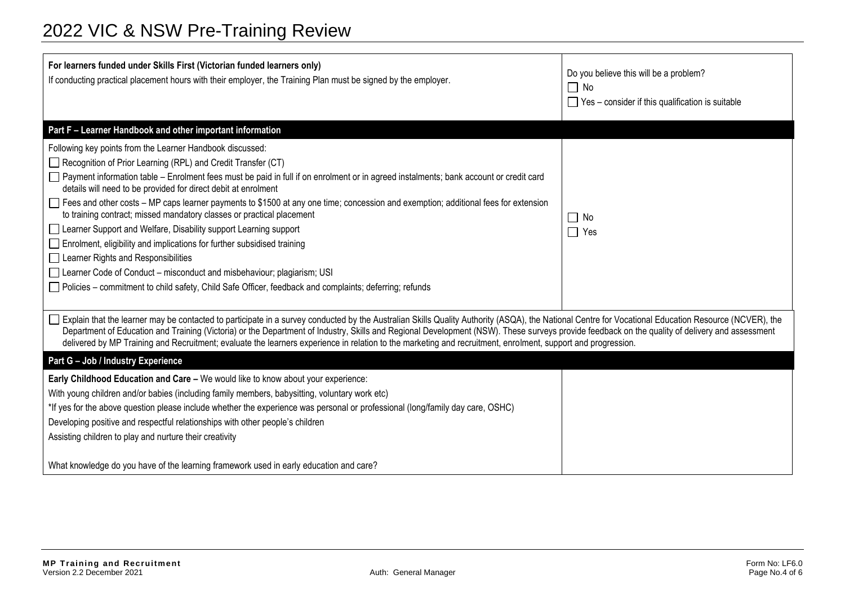| For learners funded under Skills First (Victorian funded learners only)<br>If conducting practical placement hours with their employer, the Training Plan must be signed by the employer.                                                                                                                                                                                                                                                                                                                                                                                                                                                                                                                                                                                                                                                                                                                                       | Do you believe this will be a problem?<br>$\Box$ No<br>$\Box$ Yes – consider if this qualification is suitable |  |  |
|---------------------------------------------------------------------------------------------------------------------------------------------------------------------------------------------------------------------------------------------------------------------------------------------------------------------------------------------------------------------------------------------------------------------------------------------------------------------------------------------------------------------------------------------------------------------------------------------------------------------------------------------------------------------------------------------------------------------------------------------------------------------------------------------------------------------------------------------------------------------------------------------------------------------------------|----------------------------------------------------------------------------------------------------------------|--|--|
| Part F - Learner Handbook and other important information                                                                                                                                                                                                                                                                                                                                                                                                                                                                                                                                                                                                                                                                                                                                                                                                                                                                       |                                                                                                                |  |  |
| Following key points from the Learner Handbook discussed:<br>Recognition of Prior Learning (RPL) and Credit Transfer (CT)<br>□ Payment information table – Enrolment fees must be paid in full if on enrolment or in agreed instalments; bank account or credit card<br>details will need to be provided for direct debit at enrolment<br>Fees and other costs – MP caps learner payments to \$1500 at any one time; concession and exemption; additional fees for extension<br>to training contract; missed mandatory classes or practical placement<br>Learner Support and Welfare, Disability support Learning support<br>Enrolment, eligibility and implications for further subsidised training<br>Learner Rights and Responsibilities<br>Learner Code of Conduct – misconduct and misbehaviour; plagiarism; USI<br>Policies – commitment to child safety, Child Safe Officer, feedback and complaints; deferring; refunds | No<br>$\Box$<br>$\Box$ Yes                                                                                     |  |  |
| Explain that the learner may be contacted to participate in a survey conducted by the Australian Skills Quality Authority (ASQA), the National Centre for Vocational Education Resource (NCVER), the<br>Department of Education and Training (Victoria) or the Department of Industry, Skills and Regional Development (NSW). These surveys provide feedback on the quality of delivery and assessment<br>delivered by MP Training and Recruitment; evaluate the learners experience in relation to the marketing and recruitment, enrolment, support and progression.                                                                                                                                                                                                                                                                                                                                                          |                                                                                                                |  |  |
| Part G - Job / Industry Experience                                                                                                                                                                                                                                                                                                                                                                                                                                                                                                                                                                                                                                                                                                                                                                                                                                                                                              |                                                                                                                |  |  |
| Early Childhood Education and Care - We would like to know about your experience:<br>With young children and/or babies (including family members, babysitting, voluntary work etc)<br>*If yes for the above question please include whether the experience was personal or professional (long/family day care, OSHC)<br>Developing positive and respectful relationships with other people's children<br>Assisting children to play and nurture their creativity                                                                                                                                                                                                                                                                                                                                                                                                                                                                |                                                                                                                |  |  |
| What knowledge do you have of the learning framework used in early education and care?                                                                                                                                                                                                                                                                                                                                                                                                                                                                                                                                                                                                                                                                                                                                                                                                                                          |                                                                                                                |  |  |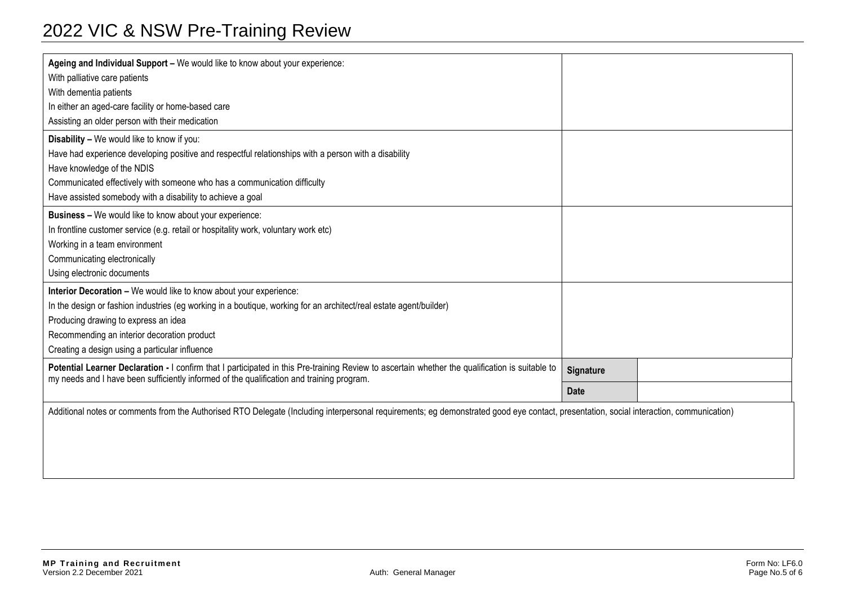| Ageing and Individual Support - We would like to know about your experience:                                                                                                                                                                 |  |  |  |
|----------------------------------------------------------------------------------------------------------------------------------------------------------------------------------------------------------------------------------------------|--|--|--|
| With palliative care patients                                                                                                                                                                                                                |  |  |  |
| With dementia patients                                                                                                                                                                                                                       |  |  |  |
| In either an aged-care facility or home-based care                                                                                                                                                                                           |  |  |  |
| Assisting an older person with their medication                                                                                                                                                                                              |  |  |  |
| Disability - We would like to know if you:                                                                                                                                                                                                   |  |  |  |
| Have had experience developing positive and respectful relationships with a person with a disability                                                                                                                                         |  |  |  |
| Have knowledge of the NDIS                                                                                                                                                                                                                   |  |  |  |
| Communicated effectively with someone who has a communication difficulty                                                                                                                                                                     |  |  |  |
| Have assisted somebody with a disability to achieve a goal                                                                                                                                                                                   |  |  |  |
| Business - We would like to know about your experience:                                                                                                                                                                                      |  |  |  |
| In frontline customer service (e.g. retail or hospitality work, voluntary work etc)                                                                                                                                                          |  |  |  |
| Working in a team environment                                                                                                                                                                                                                |  |  |  |
| Communicating electronically                                                                                                                                                                                                                 |  |  |  |
| Using electronic documents                                                                                                                                                                                                                   |  |  |  |
| Interior Decoration - We would like to know about your experience:                                                                                                                                                                           |  |  |  |
| In the design or fashion industries (eg working in a boutique, working for an architect/real estate agent/builder)                                                                                                                           |  |  |  |
| Producing drawing to express an idea                                                                                                                                                                                                         |  |  |  |
| Recommending an interior decoration product                                                                                                                                                                                                  |  |  |  |
| Creating a design using a particular influence                                                                                                                                                                                               |  |  |  |
| Potential Learner Declaration - I confirm that I participated in this Pre-training Review to ascertain whether the qualification is suitable to<br>my needs and I have been sufficiently informed of the qualification and training program. |  |  |  |
|                                                                                                                                                                                                                                              |  |  |  |
| Additional notes or comments from the Authorised RTO Delegate (Including interpersonal requirements; eg demonstrated good eye contact, presentation, social interaction, communication)                                                      |  |  |  |
|                                                                                                                                                                                                                                              |  |  |  |
|                                                                                                                                                                                                                                              |  |  |  |
|                                                                                                                                                                                                                                              |  |  |  |
|                                                                                                                                                                                                                                              |  |  |  |